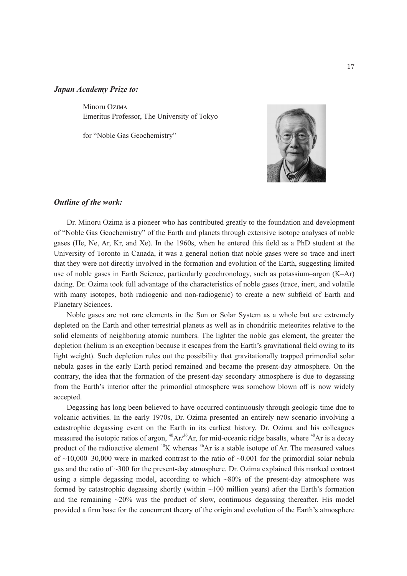#### *Japan Academy Prize to:*

Minoru Ozima Emeritus Professor, The University of Tokyo

for "Noble Gas Geochemistry"



# *Outline of the work:*

Dr. Minoru Ozima is a pioneer who has contributed greatly to the foundation and development of "Noble Gas Geochemistry" of the Earth and planets through extensive isotope analyses of noble gases (He, Ne, Ar, Kr, and Xe). In the 1960s, when he entered this field as a PhD student at the University of Toronto in Canada, it was a general notion that noble gases were so trace and inert that they were not directly involved in the formation and evolution of the Earth, suggesting limited use of noble gases in Earth Science, particularly geochronology, such as potassium–argon (K–Ar) dating. Dr. Ozima took full advantage of the characteristics of noble gases (trace, inert, and volatile with many isotopes, both radiogenic and non-radiogenic) to create a new subfield of Earth and Planetary Sciences.

Noble gases are not rare elements in the Sun or Solar System as a whole but are extremely depleted on the Earth and other terrestrial planets as well as in chondritic meteorites relative to the solid elements of neighboring atomic numbers. The lighter the noble gas element, the greater the depletion (helium is an exception because it escapes from the Earth's gravitational field owing to its light weight). Such depletion rules out the possibility that gravitationally trapped primordial solar nebula gases in the early Earth period remained and became the present-day atmosphere. On the contrary, the idea that the formation of the present-day secondary atmosphere is due to degassing from the Earth's interior after the primordial atmosphere was somehow blown off is now widely accepted.

Degassing has long been believed to have occurred continuously through geologic time due to volcanic activities. In the early 1970s, Dr. Ozima presented an entirely new scenario involving a catastrophic degassing event on the Earth in its earliest history. Dr. Ozima and his colleagues measured the isotopic ratios of argon,  ${}^{40}Ar/{}^{36}Ar$ , for mid-oceanic ridge basalts, where  ${}^{40}Ar$  is a decay product of the radioactive element  ${}^{40}K$  whereas  ${}^{36}Ar$  is a stable isotope of Ar. The measured values of  $\sim$ 10,000–30,000 were in marked contrast to the ratio of  $\sim$ 0.001 for the primordial solar nebula gas and the ratio of ~300 for the present-day atmosphere. Dr. Ozima explained this marked contrast using a simple degassing model, according to which  $\sim 80\%$  of the present-day atmosphere was formed by catastrophic degassing shortly (within  $~100$  million years) after the Earth's formation and the remaining  $\sim$ 20% was the product of slow, continuous degassing thereafter. His model provided a firm base for the concurrent theory of the origin and evolution of the Earth's atmosphere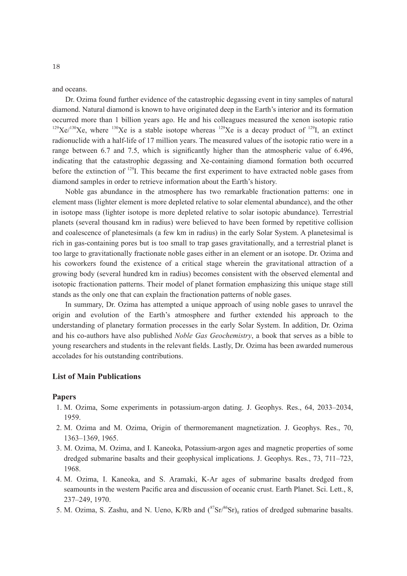and oceans.

Dr. Ozima found further evidence of the catastrophic degassing event in tiny samples of natural diamond. Natural diamond is known to have originated deep in the Earth's interior and its formation occurred more than 1 billion years ago. He and his colleagues measured the xenon isotopic ratio  $129$ Xe/<sup>130</sup>Xe, where  $130$ Xe is a stable isotope whereas  $129$ Xe is a decay product of  $129$ I, an extinct radionuclide with a half-life of 17 million years. The measured values of the isotopic ratio were in a range between 6.7 and 7.5, which is significantly higher than the atmospheric value of 6.496, indicating that the catastrophic degassing and Xe-containing diamond formation both occurred before the extinction of <sup>129</sup>I. This became the first experiment to have extracted noble gases from diamond samples in order to retrieve information about the Earth's history.

Noble gas abundance in the atmosphere has two remarkable fractionation patterns: one in element mass (lighter element is more depleted relative to solar elemental abundance), and the other in isotope mass (lighter isotope is more depleted relative to solar isotopic abundance). Terrestrial planets (several thousand km in radius) were believed to have been formed by repetitive collision and coalescence of planetesimals (a few km in radius) in the early Solar System. A planetesimal is rich in gas-containing pores but is too small to trap gases gravitationally, and a terrestrial planet is too large to gravitationally fractionate noble gases either in an element or an isotope. Dr. Ozima and his coworkers found the existence of a critical stage wherein the gravitational attraction of a growing body (several hundred km in radius) becomes consistent with the observed elemental and isotopic fractionation patterns. Their model of planet formation emphasizing this unique stage still stands as the only one that can explain the fractionation patterns of noble gases.

In summary, Dr. Ozima has attempted a unique approach of using noble gases to unravel the origin and evolution of the Earth's atmosphere and further extended his approach to the understanding of planetary formation processes in the early Solar System. In addition, Dr. Ozima and his co-authors have also published *Noble Gas Geochemistry*, a book that serves as a bible to young researchers and students in the relevant fields. Lastly, Dr. Ozima has been awarded numerous accolades for his outstanding contributions.

### **List of Main Publications**

#### **Papers**

- 1. M. Ozima, Some experiments in potassium-argon dating. J. Geophys. Res., 64, 2033–2034, 1959.
- 2. M. Ozima and M. Ozima, Origin of thermoremanent magnetization. J. Geophys. Res., 70, 1363–1369, 1965.
- 3. M. Ozima, M. Ozima, and I. Kaneoka, Potassium-argon ages and magnetic properties of some dredged submarine basalts and their geophysical implications. J. Geophys. Res., 73, 711–723, 1968.
- 4. M. Ozima, I. Kaneoka, and S. Aramaki, K-Ar ages of submarine basalts dredged from seamounts in the western Pacific area and discussion of oceanic crust. Earth Planet. Sci. Lett., 8, 237–249, 1970.
- 5. M. Ozima, S. Zashu, and N. Ueno, K/Rb and  $({}^{87}Sr)^{86}Sr)_{0}$  ratios of dredged submarine basalts.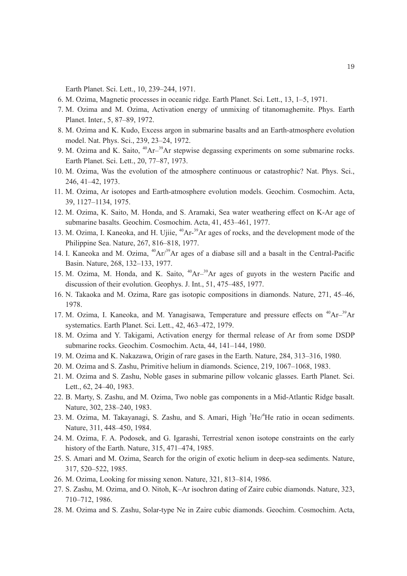Earth Planet. Sci. Lett., 10, 239–244, 1971.

- 6. M. Ozima, Magnetic processes in oceanic ridge. Earth Planet. Sci. Lett., 13, 1–5, 1971.
- 7. M. Ozima and M. Ozima, Activation energy of unmixing of titanomaghemite. Phys. Earth Planet. Inter., 5, 87–89, 1972.
- 8. M. Ozima and K. Kudo, Excess argon in submarine basalts and an Earth-atmosphere evolution model. Nat. Phys. Sci., 239, 23–24, 1972.
- 9. M. Ozima and K. Saito,  $^{40}Ar^{-39}Ar$  stepwise degassing experiments on some submarine rocks. Earth Planet. Sci. Lett., 20, 77–87, 1973.
- 10. M. Ozima, Was the evolution of the atmosphere continuous or catastrophic? Nat. Phys. Sci., 246, 41–42, 1973.
- 11. M. Ozima, Ar isotopes and Earth-atmosphere evolution models. Geochim. Cosmochim. Acta, 39, 1127–1134, 1975.
- 12. M. Ozima, K. Saito, M. Honda, and S. Aramaki, Sea water weathering effect on K-Ar age of submarine basalts. Geochim. Cosmochim. Acta, 41, 453–461, 1977.
- 13. M. Ozima, I. Kaneoka, and H. Ujiie, <sup>40</sup>Ar-<sup>39</sup>Ar ages of rocks, and the development mode of the Philippine Sea. Nature, 267, 816–818, 1977.
- 14. I. Kaneoka and M. Ozima,  $^{40}Ar/^{39}Ar$  ages of a diabase sill and a basalt in the Central-Pacific Basin. Nature, 268, 132–133, 1977.
- 15. M. Ozima, M. Honda, and K. Saito,  $^{40}Ar<sup>-39</sup>Ar$  ages of guyots in the western Pacific and discussion of their evolution. Geophys. J. Int., 51, 475–485, 1977.
- 16. N. Takaoka and M. Ozima, Rare gas isotopic compositions in diamonds. Nature, 271, 45–46, 1978.
- 17. M. Ozima, I. Kaneoka, and M. Yanagisawa, Temperature and pressure effects on  $^{40}Ar^{-39}Ar$ systematics. Earth Planet. Sci. Lett., 42, 463–472, 1979.
- 18. M. Ozima and Y. Takigami, Activation energy for thermal release of Ar from some DSDP submarine rocks. Geochim. Cosmochim. Acta, 44, 141–144, 1980.
- 19. M. Ozima and K. Nakazawa, Origin of rare gases in the Earth. Nature, 284, 313–316, 1980.
- 20. M. Ozima and S. Zashu, Primitive helium in diamonds. Science, 219, 1067–1068, 1983.
- 21. M. Ozima and S. Zashu, Noble gases in submarine pillow volcanic glasses. Earth Planet. Sci. Lett., 62, 24–40, 1983.
- 22. B. Marty, S. Zashu, and M. Ozima, Two noble gas components in a Mid-Atlantic Ridge basalt. Nature, 302, 238–240, 1983.
- 23. M. Ozima, M. Takayanagi, S. Zashu, and S. Amari, High <sup>3</sup>He/<sup>4</sup>He ratio in ocean sediments. Nature, 311, 448–450, 1984.
- 24. M. Ozima, F. A. Podosek, and G. Igarashi, Terrestrial xenon isotope constraints on the early history of the Earth. Nature, 315, 471–474, 1985.
- 25. S. Amari and M. Ozima, Search for the origin of exotic helium in deep-sea sediments. Nature, 317, 520–522, 1985.
- 26. M. Ozima, Looking for missing xenon. Nature, 321, 813–814, 1986.
- 27. S. Zashu, M. Ozima, and O. Nitoh, K–Ar isochron dating of Zaire cubic diamonds. Nature, 323, 710–712, 1986.
- 28. M. Ozima and S. Zashu, Solar-type Ne in Zaire cubic diamonds. Geochim. Cosmochim. Acta,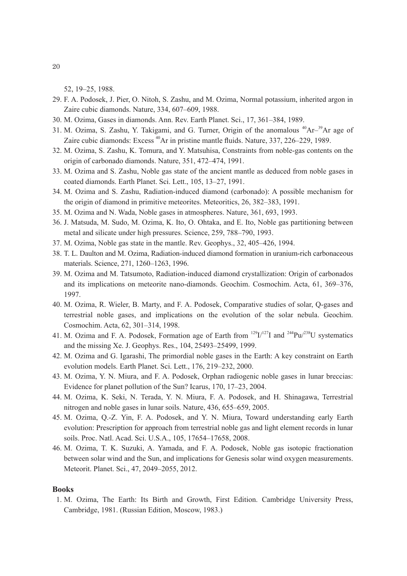52, 19–25, 1988.

- 29. F. A. Podosek, J. Pier, O. Nitoh, S. Zashu, and M. Ozima, Normal potassium, inherited argon in Zaire cubic diamonds. Nature, 334, 607–609, 1988.
- 30. M. Ozima, Gases in diamonds. Ann. Rev. Earth Planet. Sci., 17, 361–384, 1989.
- 31. M. Ozima, S. Zashu, Y. Takigami, and G. Turner, Origin of the anomalous <sup>40</sup>Ar<sup>-39</sup>Ar age of Zaire cubic diamonds: Excess <sup>40</sup>Ar in pristine mantle fluids. Nature, 337, 226–229, 1989.
- 32. M. Ozima, S. Zashu, K. Tomura, and Y. Matsuhisa, Constraints from noble-gas contents on the origin of carbonado diamonds. Nature, 351, 472–474, 1991.
- 33. M. Ozima and S. Zashu, Noble gas state of the ancient mantle as deduced from noble gases in coated diamonds. Earth Planet. Sci. Lett., 105, 13–27, 1991.
- 34. M. Ozima and S. Zashu, Radiation-induced diamond (carbonado): A possible mechanism for the origin of diamond in primitive meteorites. Meteoritics, 26, 382–383, 1991.
- 35. M. Ozima and N. Wada, Noble gases in atmospheres. Nature, 361, 693, 1993.
- 36. J. Matsuda, M. Sudo, M. Ozima, K. Ito, O. Ohtaka, and E. Ito, Noble gas partitioning between metal and silicate under high pressures. Science, 259, 788–790, 1993.
- 37. M. Ozima, Noble gas state in the mantle. Rev. Geophys., 32, 405–426, 1994.
- 38. T. L. Daulton and M. Ozima, Radiation-induced diamond formation in uranium-rich carbonaceous materials. Science, 271, 1260–1263, 1996.
- 39. M. Ozima and M. Tatsumoto, Radiation-induced diamond crystallization: Origin of carbonados and its implications on meteorite nano-diamonds. Geochim. Cosmochim. Acta, 61, 369–376, 1997.
- 40. M. Ozima, R. Wieler, B. Marty, and F. A. Podosek, Comparative studies of solar, Q-gases and terrestrial noble gases, and implications on the evolution of the solar nebula. Geochim. Cosmochim. Acta, 62, 301–314, 1998.
- 41. M. Ozima and F. A. Podosek, Formation age of Earth from  $^{129}I^{127}I$  and  $^{244}Pu^{238}U$  systematics and the missing Xe. J. Geophys. Res., 104, 25493–25499, 1999.
- 42. M. Ozima and G. Igarashi, The primordial noble gases in the Earth: A key constraint on Earth evolution models. Earth Planet. Sci. Lett., 176, 219–232, 2000.
- 43. M. Ozima, Y. N. Miura, and F. A. Podosek, Orphan radiogenic noble gases in lunar breccias: Evidence for planet pollution of the Sun? Icarus, 170, 17–23, 2004.
- 44. M. Ozima, K. Seki, N. Terada, Y. N. Miura, F. A. Podosek, and H. Shinagawa, Terrestrial nitrogen and noble gases in lunar soils. Nature, 436, 655–659, 2005.
- 45. M. Ozima, Q.-Z. Yin, F. A. Podosek, and Y. N. Miura, Toward understanding early Earth evolution: Prescription for approach from terrestrial noble gas and light element records in lunar soils. Proc. Natl. Acad. Sci. U.S.A., 105, 17654–17658, 2008.
- 46. M. Ozima, T. K. Suzuki, A. Yamada, and F. A. Podosek, Noble gas isotopic fractionation between solar wind and the Sun, and implications for Genesis solar wind oxygen measurements. Meteorit. Planet. Sci., 47, 2049–2055, 2012.

## **Books**

1. M. Ozima, The Earth: Its Birth and Growth, First Edition. Cambridge University Press, Cambridge, 1981. (Russian Edition, Moscow, 1983.)